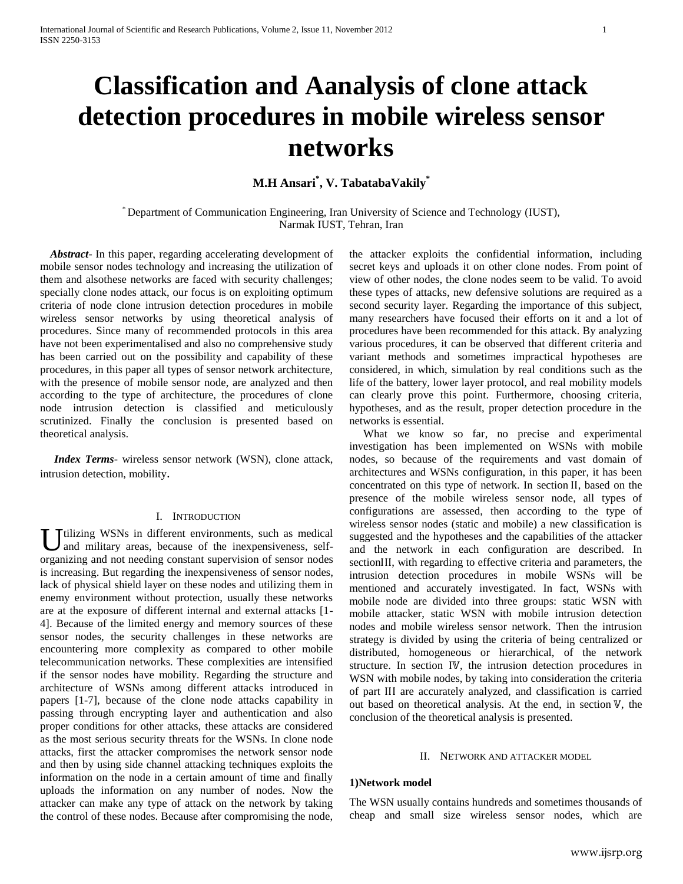# **Classification and Aanalysis of clone attack detection procedures in mobile wireless sensor networks**

# **M.H Ansari\* , V. TabatabaVakily \***

\* Department of Communication Engineering, Iran University of Science and Technology (IUST), Narmak IUST, Tehran, Iran

Abstract- In this paper, regarding accelerating development of mobile sensor nodes technology and increasing the utilization of them and alsothese networks are faced with security challenges; specially clone nodes attack, our focus is on exploiting optimum criteria of node clone intrusion detection procedures in mobile wireless sensor networks by using theoretical analysis of procedures. Since many of recommended protocols in this area have not been experimentalised and also no comprehensive study has been carried out on the possibility and capability of these procedures, in this paper all types of sensor network architecture, with the presence of mobile sensor node, are analyzed and then according to the type of architecture, the procedures of clone node intrusion detection is classified and meticulously scrutinized. Finally the conclusion is presented based on theoretical analysis.

 *Index Terms*- wireless sensor network (WSN), clone attack, intrusion detection, mobility.

#### I. INTRODUCTION

U tilizing WSNs in different environments, such as medical and military areas, because of the inexpensiveness, selfand military areas, because of the inexpensiveness, selforganizing and not needing constant supervision of sensor nodes is increasing. But regarding the inexpensiveness of sensor nodes, lack of physical shield layer on these nodes and utilizing them in enemy environment without protection, usually these networks are at the exposure of different internal and external attacks [1- 4]. Because of the limited energy and memory sources of these sensor nodes, the security challenges in these networks are encountering more complexity as compared to other mobile telecommunication networks. These complexities are intensified if the sensor nodes have mobility. Regarding the structure and architecture of WSNs among different attacks introduced in papers [1-7], because of the clone node attacks capability in passing through encrypting layer and authentication and also proper conditions for other attacks, these attacks are considered as the most serious security threats for the WSNs. In clone node attacks, first the attacker compromises the network sensor node and then by using side channel attacking techniques exploits the information on the node in a certain amount of time and finally uploads the information on any number of nodes. Now the attacker can make any type of attack on the network by taking the control of these nodes. Because after compromising the node,

the attacker exploits the confidential information, including secret keys and uploads it on other clone nodes. From point of view of other nodes, the clone nodes seem to be valid. To avoid these types of attacks, new defensive solutions are required as a second security layer. Regarding the importance of this subject, many researchers have focused their efforts on it and a lot of procedures have been recommended for this attack. By analyzing various procedures, it can be observed that different criteria and variant methods and sometimes impractical hypotheses are considered, in which, simulation by real conditions such as the life of the battery, lower layer protocol, and real mobility models can clearly prove this point. Furthermore, choosing criteria, hypotheses, and as the result, proper detection procedure in the networks is essential.

 What we know so far, no precise and experimental investigation has been implemented on WSNs with mobile nodes, so because of the requirements and vast domain of architectures and WSNs configuration, in this paper, it has been concentrated on this type of network. In section ΙΙ, based on the presence of the mobile wireless sensor node, all types of configurations are assessed, then according to the type of wireless sensor nodes (static and mobile) a new classification is suggested and the hypotheses and the capabilities of the attacker and the network in each configuration are described. In sectionΙΙΙ, with regarding to effective criteria and parameters, the intrusion detection procedures in mobile WSNs will be mentioned and accurately investigated. In fact, WSNs with mobile node are divided into three groups: static WSN with mobile attacker, static WSN with mobile intrusion detection nodes and mobile wireless sensor network. Then the intrusion strategy is divided by using the criteria of being centralized or distributed, homogeneous or hierarchical, of the network structure. In section IV, the intrusion detection procedures in WSN with mobile nodes, by taking into consideration the criteria of part ΙΙΙ are accurately analyzed, and classification is carried out based on theoretical analysis. At the end, in section  $V$ , the conclusion of the theoretical analysis is presented.

#### II. NETWORK AND ATTACKER MODEL

#### **1)Network model**

The WSN usually contains hundreds and sometimes thousands of cheap and small size wireless sensor nodes, which are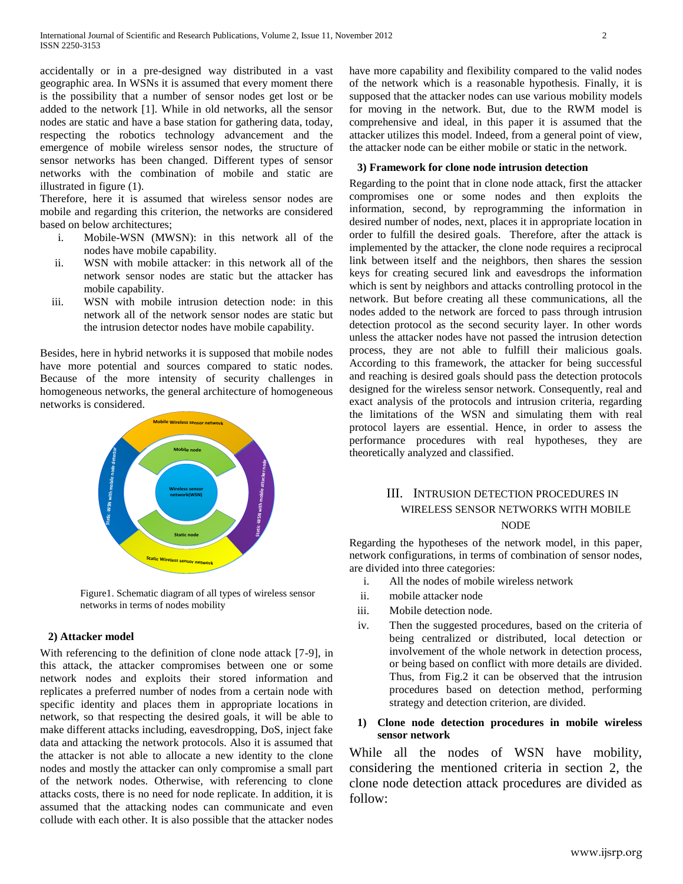accidentally or in a pre-designed way distributed in a vast geographic area. In WSNs it is assumed that every moment there is the possibility that a number of sensor nodes get lost or be added to the network [1]. While in old networks, all the sensor nodes are static and have a base station for gathering data, today, respecting the robotics technology advancement and the emergence of mobile wireless sensor nodes, the structure of sensor networks has been changed. Different types of sensor networks with the combination of mobile and static are illustrated in figure (1).

Therefore, here it is assumed that wireless sensor nodes are mobile and regarding this criterion, the networks are considered based on below architectures;

- i. Mobile-WSN (MWSN): in this network all of the nodes have mobile capability.
- ii. WSN with mobile attacker: in this network all of the network sensor nodes are static but the attacker has mobile capability.
- iii. WSN with mobile intrusion detection node: in this network all of the network sensor nodes are static but the intrusion detector nodes have mobile capability.

Besides, here in hybrid networks it is supposed that mobile nodes have more potential and sources compared to static nodes. Because of the more intensity of security challenges in homogeneous networks, the general architecture of homogeneous networks is considered.



Figure1. Schematic diagram of all types of wireless sensor networks in terms of nodes mobility

#### **2) Attacker model**

With referencing to the definition of clone node attack [7-9], in this attack, the attacker compromises between one or some network nodes and exploits their stored information and replicates a preferred number of nodes from a certain node with specific identity and places them in appropriate locations in network, so that respecting the desired goals, it will be able to make different attacks including, eavesdropping, DoS, inject fake data and attacking the network protocols. Also it is assumed that the attacker is not able to allocate a new identity to the clone nodes and mostly the attacker can only compromise a small part of the network nodes. Otherwise, with referencing to clone attacks costs, there is no need for node replicate. In addition, it is assumed that the attacking nodes can communicate and even collude with each other. It is also possible that the attacker nodes have more capability and flexibility compared to the valid nodes of the network which is a reasonable hypothesis. Finally, it is supposed that the attacker nodes can use various mobility models for moving in the network. But, due to the RWM model is comprehensive and ideal, in this paper it is assumed that the attacker utilizes this model. Indeed, from a general point of view, the attacker node can be either mobile or static in the network.

#### **3) Framework for clone node intrusion detection**

Regarding to the point that in clone node attack, first the attacker compromises one or some nodes and then exploits the information, second, by reprogramming the information in desired number of nodes, next, places it in appropriate location in order to fulfill the desired goals. Therefore, after the attack is implemented by the attacker, the clone node requires a reciprocal link between itself and the neighbors, then shares the session keys for creating secured link and eavesdrops the information which is sent by neighbors and attacks controlling protocol in the network. But before creating all these communications, all the nodes added to the network are forced to pass through intrusion detection protocol as the second security layer. In other words unless the attacker nodes have not passed the intrusion detection process, they are not able to fulfill their malicious goals. According to this framework, the attacker for being successful and reaching is desired goals should pass the detection protocols designed for the wireless sensor network. Consequently, real and exact analysis of the protocols and intrusion criteria, regarding the limitations of the WSN and simulating them with real protocol layers are essential. Hence, in order to assess the performance procedures with real hypotheses, they are theoretically analyzed and classified.

## III. INTRUSION DETECTION PROCEDURES IN WIRELESS SENSOR NETWORKS WITH MOBILE NODE

Regarding the hypotheses of the network model, in this paper, network configurations, in terms of combination of sensor nodes, are divided into three categories:

- i. All the nodes of mobile wireless network
- ii. mobile attacker node
- iii. Mobile detection node.
- iv. Then the suggested procedures, based on the criteria of being centralized or distributed, local detection or involvement of the whole network in detection process, or being based on conflict with more details are divided. Thus, from Fig.2 it can be observed that the intrusion procedures based on detection method, performing strategy and detection criterion, are divided.

## **1) Clone node detection procedures in mobile wireless sensor network**

While all the nodes of WSN have mobility, considering the mentioned criteria in section 2, the clone node detection attack procedures are divided as follow: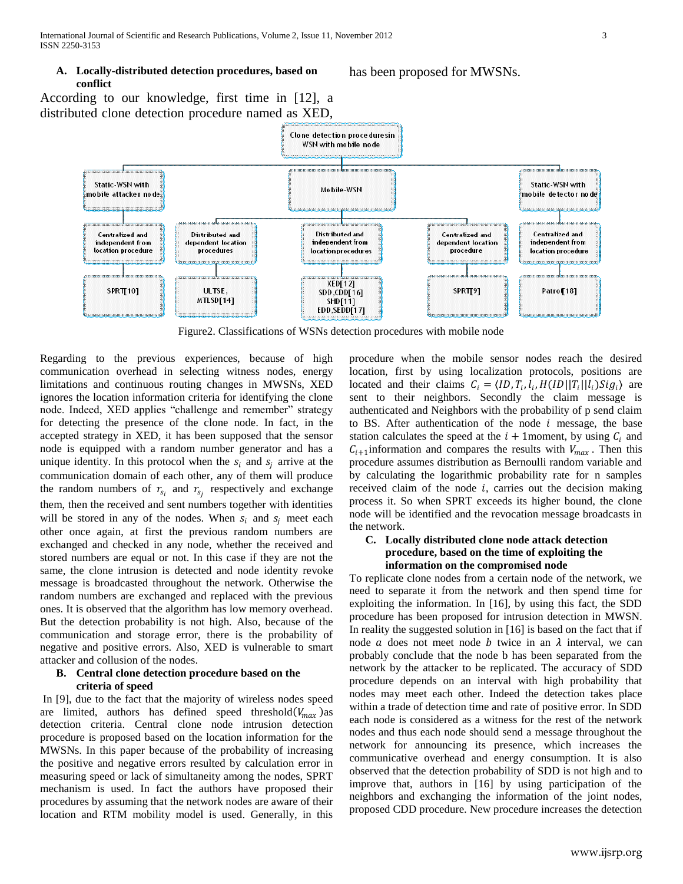#### **A. Locally-distributed detection procedures, based on conflict**

has been proposed for MWSNs.

According to our knowledge, first time in [12], a distributed clone detection procedure named as XED,



Figure2. Classifications of WSNs detection procedures with mobile node

Regarding to the previous experiences, because of high communication overhead in selecting witness nodes, energy limitations and continuous routing changes in MWSNs, XED ignores the location information criteria for identifying the clone node. Indeed, XED applies "challenge and remember" strategy for detecting the presence of the clone node. In fact, in the accepted strategy in XED, it has been supposed that the sensor node is equipped with a random number generator and has a unique identity. In this protocol when the  $s_i$  and  $s_i$  arrive at the communication domain of each other, any of them will produce the random numbers of  $r_{s_i}$  and  $r_{s_j}$  respectively and exchange them, then the received and sent numbers together with identities will be stored in any of the nodes. When  $s_i$  and  $s_i$  meet each other once again, at first the previous random numbers are exchanged and checked in any node, whether the received and stored numbers are equal or not. In this case if they are not the same, the clone intrusion is detected and node identity revoke message is broadcasted throughout the network. Otherwise the random numbers are exchanged and replaced with the previous ones. It is observed that the algorithm has low memory overhead. But the detection probability is not high. Also, because of the communication and storage error, there is the probability of negative and positive errors. Also, XED is vulnerable to smart attacker and collusion of the nodes.

#### **B. Central clone detection procedure based on the criteria of speed**

In [9], due to the fact that the majority of wireless nodes speed are limited, authors has defined speed threshold  $(V_{max})$  as detection criteria. Central clone node intrusion detection procedure is proposed based on the location information for the MWSNs. In this paper because of the probability of increasing the positive and negative errors resulted by calculation error in measuring speed or lack of simultaneity among the nodes, SPRT mechanism is used. In fact the authors have proposed their procedures by assuming that the network nodes are aware of their location and RTM mobility model is used. Generally, in this

procedure when the mobile sensor nodes reach the desired location, first by using localization protocols, positions are located and their claims  $C_i = \langle ID, T_i, l_i, H(ID || T_i || l_i) Sig_i \rangle$  are sent to their neighbors. Secondly the claim message is authenticated and Neighbors with the probability of p send claim to BS. After authentication of the node  $i$  message, the base station calculates the speed at the  $i + 1$ moment, by using  $C_i$  and  $C_{i+1}$  information and compares the results with  $V_{max}$ . Then this procedure assumes distribution as Bernoulli random variable and by calculating the logarithmic probability rate for n samples received claim of the node  $i$ , carries out the decision making process it. So when SPRT exceeds its higher bound, the clone node will be identified and the revocation message broadcasts in the network.

#### **C. Locally distributed clone node attack detection procedure, based on the time of exploiting the information on the compromised node**

To replicate clone nodes from a certain node of the network, we need to separate it from the network and then spend time for exploiting the information. In [16], by using this fact, the SDD procedure has been proposed for intrusion detection in MWSN. In reality the suggested solution in [16] is based on the fact that if node  $\alpha$  does not meet node  $\beta$  twice in an  $\lambda$  interval, we can probably conclude that the node b has been separated from the network by the attacker to be replicated. The accuracy of SDD procedure depends on an interval with high probability that nodes may meet each other. Indeed the detection takes place within a trade of detection time and rate of positive error. In SDD each node is considered as a witness for the rest of the network nodes and thus each node should send a message throughout the network for announcing its presence, which increases the communicative overhead and energy consumption. It is also observed that the detection probability of SDD is not high and to improve that, authors in [16] by using participation of the neighbors and exchanging the information of the joint nodes, proposed CDD procedure. New procedure increases the detection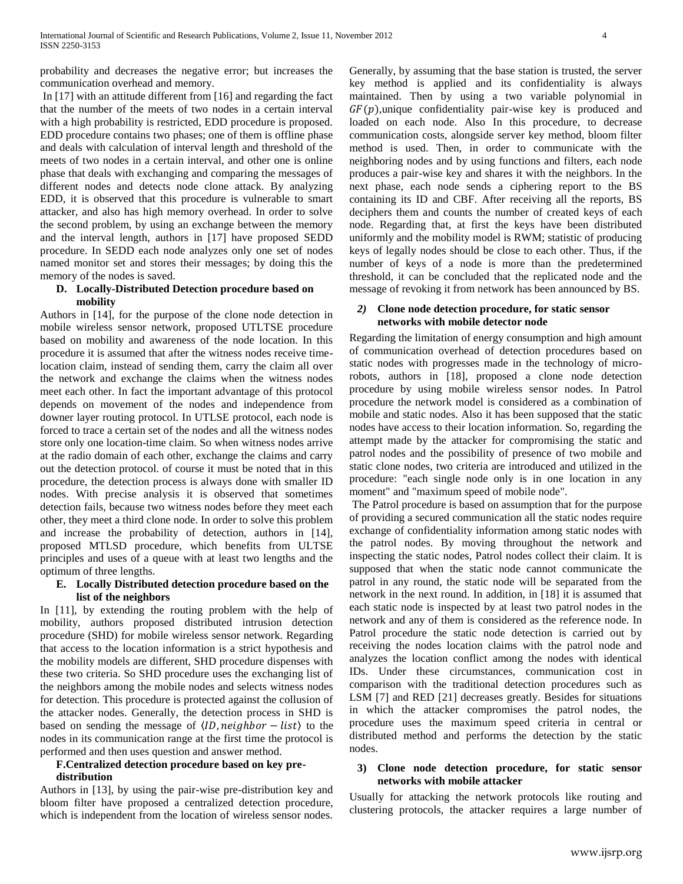probability and decreases the negative error; but increases the communication overhead and memory.

In [17] with an attitude different from [16] and regarding the fact that the number of the meets of two nodes in a certain interval with a high probability is restricted, EDD procedure is proposed. EDD procedure contains two phases; one of them is offline phase and deals with calculation of interval length and threshold of the meets of two nodes in a certain interval, and other one is online phase that deals with exchanging and comparing the messages of different nodes and detects node clone attack. By analyzing EDD, it is observed that this procedure is vulnerable to smart attacker, and also has high memory overhead. In order to solve the second problem, by using an exchange between the memory and the interval length, authors in [17] have proposed SEDD procedure. In SEDD each node analyzes only one set of nodes named monitor set and stores their messages; by doing this the memory of the nodes is saved.

#### **D. Locally-Distributed Detection procedure based on mobility**

Authors in [14], for the purpose of the clone node detection in mobile wireless sensor network, proposed UTLTSE procedure based on mobility and awareness of the node location. In this procedure it is assumed that after the witness nodes receive timelocation claim, instead of sending them, carry the claim all over the network and exchange the claims when the witness nodes meet each other. In fact the important advantage of this protocol depends on movement of the nodes and independence from downer layer routing protocol. In UTLSE protocol, each node is forced to trace a certain set of the nodes and all the witness nodes store only one location-time claim. So when witness nodes arrive at the radio domain of each other, exchange the claims and carry out the detection protocol. of course it must be noted that in this procedure, the detection process is always done with smaller ID nodes. With precise analysis it is observed that sometimes detection fails, because two witness nodes before they meet each other, they meet a third clone node. In order to solve this problem and increase the probability of detection, authors in [14], proposed MTLSD procedure, which benefits from ULTSE principles and uses of a queue with at least two lengths and the optimum of three lengths.

#### **E. Locally Distributed detection procedure based on the list of the neighbors**

In [11], by extending the routing problem with the help of mobility, authors proposed distributed intrusion detection procedure (SHD) for mobile wireless sensor network. Regarding that access to the location information is a strict hypothesis and the mobility models are different, SHD procedure dispenses with these two criteria. So SHD procedure uses the exchanging list of the neighbors among the mobile nodes and selects witness nodes for detection. This procedure is protected against the collusion of the attacker nodes. Generally, the detection process in SHD is based on sending the message of  $\langle ID, neighbor - list \rangle$  to the nodes in its communication range at the first time the protocol is performed and then uses question and answer method.

## **F.Centralized detection procedure based on key predistribution**

Authors in [13], by using the pair-wise pre-distribution key and bloom filter have proposed a centralized detection procedure, which is independent from the location of wireless sensor nodes.

Generally, by assuming that the base station is trusted, the server key method is applied and its confidentiality is always maintained. Then by using a two variable polynomial in  $GF(p)$ ,unique confidentiality pair-wise key is produced and loaded on each node. Also In this procedure, to decrease communication costs, alongside server key method, bloom filter method is used. Then, in order to communicate with the neighboring nodes and by using functions and filters, each node produces a pair-wise key and shares it with the neighbors. In the next phase, each node sends a ciphering report to the BS containing its ID and CBF. After receiving all the reports, BS deciphers them and counts the number of created keys of each node. Regarding that, at first the keys have been distributed uniformly and the mobility model is RWM; statistic of producing keys of legally nodes should be close to each other. Thus, if the number of keys of a node is more than the predetermined threshold, it can be concluded that the replicated node and the message of revoking it from network has been announced by BS.

#### *2)* **Clone node detection procedure, for static sensor networks with mobile detector node**

Regarding the limitation of energy consumption and high amount of communication overhead of detection procedures based on static nodes with progresses made in the technology of microrobots, authors in [18], proposed a clone node detection procedure by using mobile wireless sensor nodes. In Patrol procedure the network model is considered as a combination of mobile and static nodes. Also it has been supposed that the static nodes have access to their location information. So, regarding the attempt made by the attacker for compromising the static and patrol nodes and the possibility of presence of two mobile and static clone nodes, two criteria are introduced and utilized in the procedure: "each single node only is in one location in any moment" and "maximum speed of mobile node".

The Patrol procedure is based on assumption that for the purpose of providing a secured communication all the static nodes require exchange of confidentiality information among static nodes with the patrol nodes. By moving throughout the network and inspecting the static nodes, Patrol nodes collect their claim. It is supposed that when the static node cannot communicate the patrol in any round, the static node will be separated from the network in the next round. In addition, in [18] it is assumed that each static node is inspected by at least two patrol nodes in the network and any of them is considered as the reference node. In Patrol procedure the static node detection is carried out by receiving the nodes location claims with the patrol node and analyzes the location conflict among the nodes with identical IDs. Under these circumstances, communication cost in comparison with the traditional detection procedures such as LSM [7] and RED [21] decreases greatly. Besides for situations in which the attacker compromises the patrol nodes, the procedure uses the maximum speed criteria in central or distributed method and performs the detection by the static nodes.

#### **3) Clone node detection procedure, for static sensor networks with mobile attacker**

Usually for attacking the network protocols like routing and clustering protocols, the attacker requires a large number of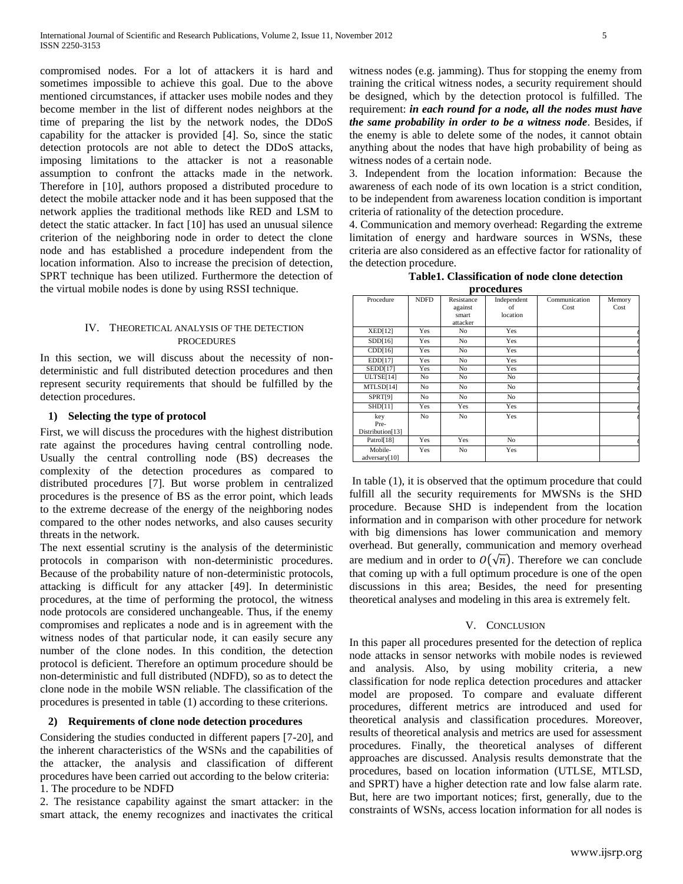compromised nodes. For a lot of attackers it is hard and sometimes impossible to achieve this goal. Due to the above mentioned circumstances, if attacker uses mobile nodes and they become member in the list of different nodes neighbors at the time of preparing the list by the network nodes, the DDoS capability for the attacker is provided [4]. So, since the static detection protocols are not able to detect the DDoS attacks, imposing limitations to the attacker is not a reasonable assumption to confront the attacks made in the network. Therefore in [10], authors proposed a distributed procedure to detect the mobile attacker node and it has been supposed that the network applies the traditional methods like RED and LSM to detect the static attacker. In fact [10] has used an unusual silence criterion of the neighboring node in order to detect the clone node and has established a procedure independent from the location information. Also to increase the precision of detection, SPRT technique has been utilized. Furthermore the detection of the virtual mobile nodes is done by using RSSI technique.

### IV. THEORETICAL ANALYSIS OF THE DETECTION PROCEDURES

In this section, we will discuss about the necessity of nondeterministic and full distributed detection procedures and then represent security requirements that should be fulfilled by the detection procedures.

### **1) Selecting the type of protocol**

First, we will discuss the procedures with the highest distribution rate against the procedures having central controlling node. Usually the central controlling node (BS) decreases the complexity of the detection procedures as compared to distributed procedures [7]. But worse problem in centralized procedures is the presence of BS as the error point, which leads to the extreme decrease of the energy of the neighboring nodes compared to the other nodes networks, and also causes security threats in the network.

The next essential scrutiny is the analysis of the deterministic protocols in comparison with non-deterministic procedures. Because of the probability nature of non-deterministic protocols, attacking is difficult for any attacker [49]. In deterministic procedures, at the time of performing the protocol, the witness node protocols are considered unchangeable. Thus, if the enemy compromises and replicates a node and is in agreement with the witness nodes of that particular node, it can easily secure any number of the clone nodes. In this condition, the detection protocol is deficient. Therefore an optimum procedure should be non-deterministic and full distributed (NDFD), so as to detect the clone node in the mobile WSN reliable. The classification of the procedures is presented in table (1) according to these criterions.

#### **2) Requirements of clone node detection procedures**

Considering the studies conducted in different papers [7-20], and the inherent characteristics of the WSNs and the capabilities of the attacker, the analysis and classification of different procedures have been carried out according to the below criteria: 1. The procedure to be NDFD

2. The resistance capability against the smart attacker: in the smart attack, the enemy recognizes and inactivates the critical

witness nodes (e.g. jamming). Thus for stopping the enemy from training the critical witness nodes, a security requirement should be designed, which by the detection protocol is fulfilled. The requirement: *in each round for a node, all the nodes must have the same probability in order to be a witness node*. Besides, if the enemy is able to delete some of the nodes, it cannot obtain anything about the nodes that have high probability of being as witness nodes of a certain node.

3. Independent from the location information: Because the awareness of each node of its own location is a strict condition, to be independent from awareness location condition is important criteria of rationality of the detection procedure.

4. Communication and memory overhead: Regarding the extreme limitation of energy and hardware sources in WSNs, these criteria are also considered as an effective factor for rationality of the detection procedure.

| Table 1. Classification of node clone detection |
|-------------------------------------------------|
| procedures                                      |

| Procedure        | <b>NDFD</b> | Resistance | Independent | Communication | Memory |
|------------------|-------------|------------|-------------|---------------|--------|
|                  |             | against    | of          | Cost          | Cost   |
|                  |             | smart      | location    |               |        |
|                  |             | attacker   |             |               |        |
| XED[12]          | Yes         | No         | <b>Yes</b>  |               |        |
| SDD[16]          | Yes         | No         | <b>Yes</b>  |               |        |
| CDD[16]          | Yes         | No         | Yes         |               |        |
| EDD[17]          | Yes         | No         | Yes         |               |        |
| <b>SEDD[17]</b>  | Yes         | No         | Yes         |               |        |
| ULTSE[14]        | No          | No         | No          |               |        |
| MTLSD[14]        | No          | No         | No          |               |        |
| SPRT[9]          | No          | No         | No          |               |        |
| SHD[11]          | Yes         | Yes        | Yes         |               |        |
| key              | No          | No         | <b>Yes</b>  |               |        |
| Pre-             |             |            |             |               |        |
| Distribution[13] |             |            |             |               |        |
| Patrol[18]       | Yes         | Yes        | No          |               |        |
| Mobile-          | Yes         | No         | Yes         |               |        |
| adversary[10]    |             |            |             |               |        |

In table (1), it is observed that the optimum procedure that could fulfill all the security requirements for MWSNs is the SHD procedure. Because SHD is independent from the location information and in comparison with other procedure for network with big dimensions has lower communication and memory overhead. But generally, communication and memory overhead are medium and in order to  $O(\sqrt{n})$ . Therefore we can conclude that coming up with a full optimum procedure is one of the open discussions in this area; Besides, the need for presenting theoretical analyses and modeling in this area is extremely felt.

#### V. CONCLUSION

In this paper all procedures presented for the detection of replica node attacks in sensor networks with mobile nodes is reviewed and analysis. Also, by using mobility criteria, a new classification for node replica detection procedures and attacker model are proposed. To compare and evaluate different procedures, different metrics are introduced and used for theoretical analysis and classification procedures. Moreover, results of theoretical analysis and metrics are used for assessment procedures. Finally, the theoretical analyses of different approaches are discussed. Analysis results demonstrate that the procedures, based on location information (UTLSE, MTLSD, and SPRT) have a higher detection rate and low false alarm rate. But, here are two important notices; first, generally, due to the constraints of WSNs, access location information for all nodes is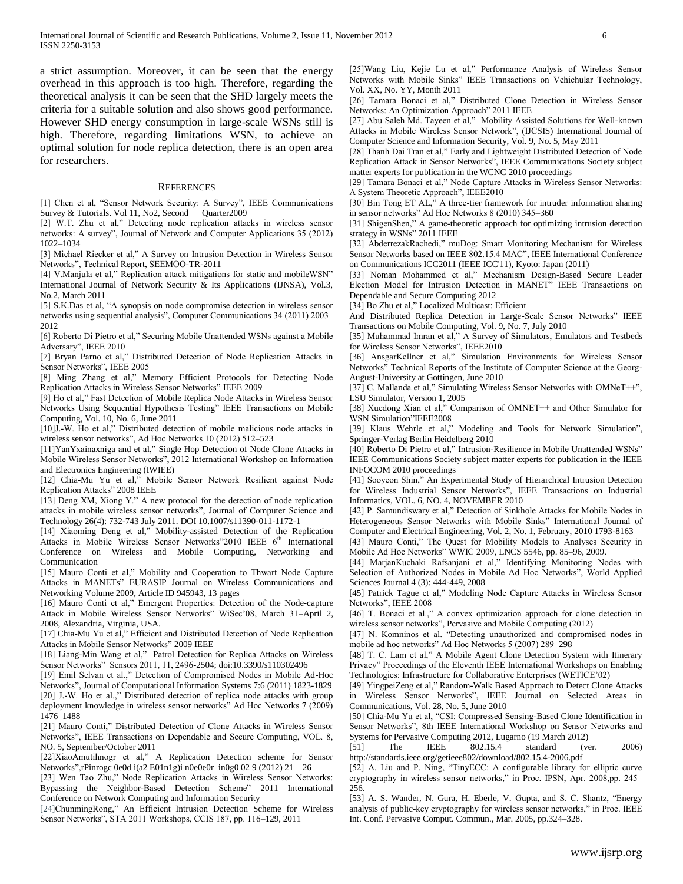a strict assumption. Moreover, it can be seen that the energy overhead in this approach is too high. Therefore, regarding the theoretical analysis it can be seen that the SHD largely meets the criteria for a suitable solution and also shows good performance. However SHD energy consumption in large-scale WSNs still is high. Therefore, regarding limitations WSN, to achieve an optimal solution for node replica detection, there is an open area for researchers.

#### **REFERENCES**

[1] Chen et al, "Sensor Network Security: A Survey", IEEE Communications Survey & Tutorials. Vol 11, No2, Second Quarter2009

[2] W.T. Zhu et al," Detecting node replication attacks in wireless sensor networks: A survey", Journal of Network and Computer Applications 35 (2012) 1022–1034

[3] Michael Riecker et al," A Survey on Intrusion Detection in Wireless Sensor Networks", Technical Report, SEEMOO-TR-2011

[4] V.Manjula et al," Replication attack mitigations for static and mobileWSN" International Journal of Network Security & Its Applications (IJNSA), Vol.3, No.2, March 2011

[5] S.K.Das et al, "A synopsis on node compromise detection in wireless sensor networks using sequential analysis", Computer Communications 34 (2011) 2003– 2012

[6] Roberto Di Pietro et al," Securing Mobile Unattended WSNs against a Mobile Adversary", IEEE 2010

[7] Bryan Parno et al," Distributed Detection of Node Replication Attacks in Sensor Networks", IEEE 2005

[8] Ming Zhang et al," Memory Efficient Protocols for Detecting Node Replication Attacks in Wireless Sensor Networks" IEEE 2009

[9] Ho et al," Fast Detection of Mobile Replica Node Attacks in Wireless Sensor Networks Using Sequential Hypothesis Testing" IEEE Transactions on Mobile Computing, Vol. 10, No. 6, June 2011

[10]J.-W. Ho et al," Distributed detection of mobile malicious node attacks in wireless sensor networks", Ad Hoc Networks 10 (2012) 512–523

[11]YanYxainaxniga and et al," Single Hop Detection of Node Clone Attacks in Mobile Wireless Sensor Networks", 2012 International Workshop on Information and Electronics Engineering (IWIEE)

[12] Chia-Mu Yu et al," Mobile Sensor Network Resilient against Node Replication Attacks" 2008 IEEE

[13] Deng XM, Xiong Y." A new protocol for the detection of node replication attacks in mobile wireless sensor networks", Journal of Computer Science and Technology 26(4): 732-743 July 2011. DOI 10.1007/s11390-011-1172-1

[14] Xiaoming Deng et al," Mobility-assisted Detection of the Replication Attacks in Mobile Wireless Sensor Networks"2010 IEEE 6<sup>th</sup> International Conference on Wireless and Mobile Computing, Networking and Communication

[15] Mauro Conti et al," Mobility and Cooperation to Thwart Node Capture Attacks in MANETs" EURASIP Journal on Wireless Communications and Networking Volume 2009, Article ID 945943, 13 pages

[16] Mauro Conti et al," Emergent Properties: Detection of the Node-capture Attack in Mobile Wireless Sensor Networks" WiSec'08, March 31–April 2, 2008, Alexandria, Virginia, USA.

[17] Chia-Mu Yu et al," Efficient and Distributed Detection of Node Replication Attacks in Mobile Sensor Networks" 2009 IEEE

[18] Liang-Min Wang et al," Patrol Detection for Replica Attacks on Wireless Sensor Networks" Sensors 2011, 11, 2496-2504; doi:10.3390/s110302496

[19] Emil Selvan et al.," Detection of Compromised Nodes in Mobile Ad-Hoc Networks", Journal of Computational Information Systems 7:6 (2011) 1823-1829 [20] J.-W. Ho et al.," Distributed detection of replica node attacks with group deployment knowledge in wireless sensor networks" Ad Hoc Networks 7 (2009) 1476–1488

[21] Mauro Conti," Distributed Detection of Clone Attacks in Wireless Sensor Networks", IEEE Transactions on Dependable and Secure Computing, VOL. 8, NO. 5, September/October 2011

[22]XiaoAmutihnogr et al," A Replication Detection scheme for Sensor Networks",rPinrogc 0e0d i(a2 E01n1g)i n0e0e0r–in0g0 02 9 (2012) 21 – 26

[23] Wen Tao Zhu," Node Replication Attacks in Wireless Sensor Networks: Bypassing the Neighbor-Based Detection Scheme" 2011 International Conference on Network Computing and Information Security

[24]ChunmingRong," An Efficient Intrusion Detection Scheme for Wireless Sensor Networks", STA 2011 Workshops, CCIS 187, pp. 116–129, 2011

[25]Wang Liu, Kejie Lu et al," Performance Analysis of Wireless Sensor Networks with Mobile Sinks" IEEE Transactions on Vehichular Technology, Vol. XX, No. YY, Month 2011

[26] Tamara Bonaci et al," Distributed Clone Detection in Wireless Sensor Networks: An Optimization Approach" 2011 IEEE

[27] Abu Saleh Md. Tayeen et al," Mobility Assisted Solutions for Well-known Attacks in Mobile Wireless Sensor Network", (IJCSIS) International Journal of Computer Science and Information Security, Vol. 9, No. 5, May 2011

[28] Thanh Dai Tran et al," Early and Lightweight Distributed Detection of Node Replication Attack in Sensor Networks", IEEE Communications Society subject matter experts for publication in the WCNC 2010 proceedings

[29] Tamara Bonaci et al," Node Capture Attacks in Wireless Sensor Networks: A System Theoretic Approach", IEEE2010

[30] Bin Tong ET AL," A three-tier framework for intruder information sharing in sensor networks" Ad Hoc Networks 8 (2010) 345–360

[31] ShigenShen," A game-theoretic approach for optimizing intrusion detection strategy in WSNs" 2011 IEEE

[32] AbderrezakRachedi," muDog: Smart Monitoring Mechanism for Wireless Sensor Networks based on IEEE 802.15.4 MAC", IEEE International Conference on Communications ICC2011 (IEEE ICC'11), Kyoto: Japan (2011)

[33] Noman Mohammed et al," Mechanism Design-Based Secure Leader Election Model for Intrusion Detection in MANET" IEEE Transactions on Dependable and Secure Computing 2012

[34] Bo Zhu et al," Localized Multicast: Efficient

And Distributed Replica Detection in Large-Scale Sensor Networks" IEEE Transactions on Mobile Computing, Vol. 9, No. 7, July 2010

[35] Muhammad Imran et al," A Survey of Simulators, Emulators and Testbeds for Wireless Sensor Networks", IEEE2010

[36] AnsgarKellner et al," Simulation Environments for Wireless Sensor Networks" Technical Reports of the Institute of Computer Science at the Georg-August-University at Gottingen, June 2010

[37] C. Mallanda et al," Simulating Wireless Sensor Networks with OMNeT++", LSU Simulator, Version 1, 2005

[38] Xuedong Xian et al," Comparison of OMNET++ and Other Simulator for WSN Simulation"IEEE2008

[39] Klaus Wehrle et al," Modeling and Tools for Network Simulation", Springer-Verlag Berlin Heidelberg 2010

[40] Roberto Di Pietro et al," Intrusion-Resilience in Mobile Unattended WSNs" IEEE Communications Society subject matter experts for publication in the IEEE INFOCOM 2010 proceedings

[41] Sooyeon Shin," An Experimental Study of Hierarchical Intrusion Detection for Wireless Industrial Sensor Networks", IEEE Transactions on Industrial Informatics, VOL. 6, NO. 4, NOVEMBER 2010

[42] P. Samundiswary et al," Detection of Sinkhole Attacks for Mobile Nodes in Heterogeneous Sensor Networks with Mobile Sinks" International Journal of Computer and Electrical Engineering, Vol. 2, No. 1, February, 2010 1793-8163

[43] Mauro Conti," The Quest for Mobility Models to Analyses Security in Mobile Ad Hoc Networks" WWIC 2009, LNCS 5546, pp. 85–96, 2009.

[44] MarjanKuchaki Rafsanjani et al," Identifying Monitoring Nodes with Selection of Authorized Nodes in Mobile Ad Hoc Networks", World Applied Sciences Journal 4 (3): 444-449, 2008

[45] Patrick Tague et al," Modeling Node Capture Attacks in Wireless Sensor Networks", IEEE 2008

[46] T. Bonaci et al.," A convex optimization approach for clone detection in wireless sensor networks", Pervasive and Mobile Computing (2012)

[47] N. Komninos et al. "Detecting unauthorized and compromised nodes in mobile ad hoc networks" Ad Hoc Networks 5 (2007) 289–298

[48] T. C. Lam et al," A Mobile Agent Clone Detection System with Itinerary Privacy" Proceedings of the Eleventh IEEE International Workshops on Enabling Technologies: Infrastructure for Collaborative Enterprises (WETICE'02)

[49] YingpeiZeng et al," Random-Walk Based Approach to Detect Clone Attacks in Wireless Sensor Networks", IEEE Journal on Selected Areas in Communications, Vol. 28, No. 5, June 2010

[50] Chia-Mu Yu et al, "CSI: Compressed Sensing-Based Clone Identification in Sensor Networks", 8th IEEE International Workshop on Sensor Networks and Systems for Pervasive Computing 2012, Lugarno (19 March 2012)

[51] The IEEE 802.15.4 standard (ver. 2006) http://standards.ieee.org/getieee802/download/802.15.4-2006.pdf

[52] A. Liu and P. Ning, "TinyECC: A configurable library for elliptic curve cryptography in wireless sensor networks," in Proc. IPSN, Apr. 2008,pp. 245– 256.

[53] A. S. Wander, N. Gura, H. Eberle, V. Gupta, and S. C. Shantz, "Energy analysis of public-key cryptography for wireless sensor networks," in Proc. IEEE Int. Conf. Pervasive Comput. Commun., Mar. 2005, pp.324–328.